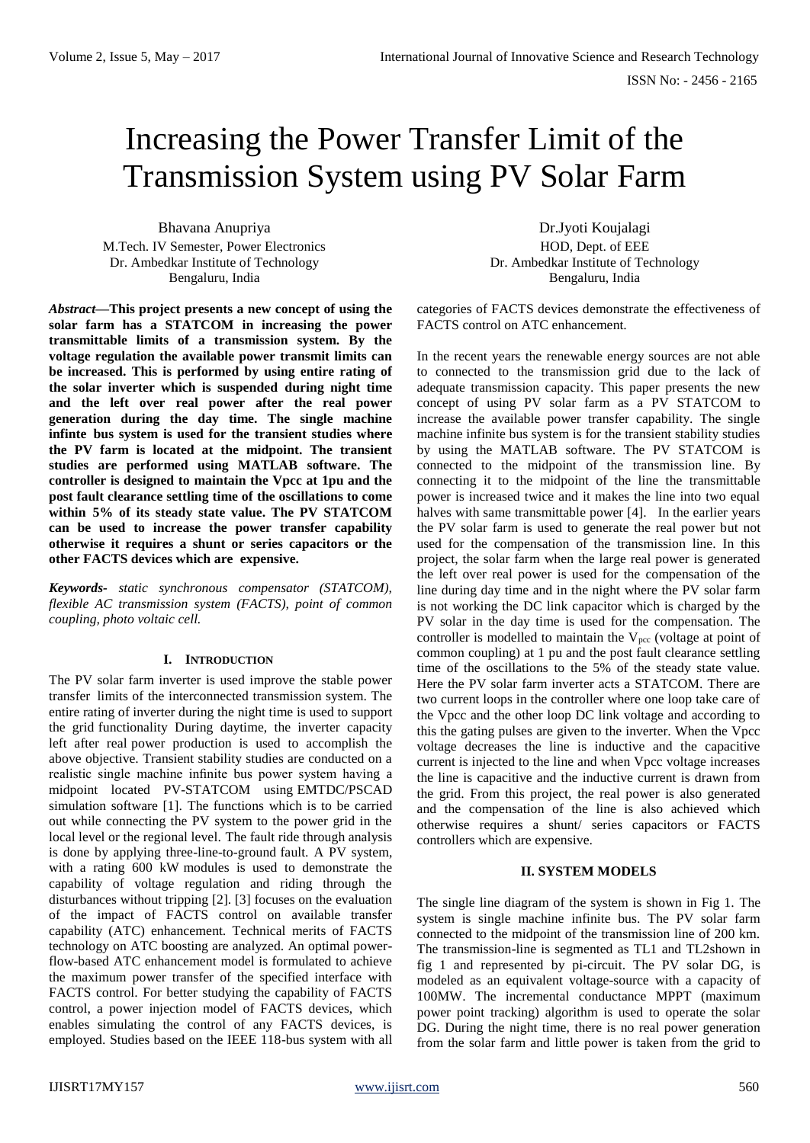# Increasing the Power Transfer Limit of the Transmission System using PV Solar Farm

Bhavana Anupriya M.Tech. IV Semester, Power Electronics Dr. Ambedkar Institute of Technology Bengaluru, India

*Abstract***—This project presents a new concept of using the solar farm has a STATCOM in increasing the power transmittable limits of a transmission system. By the voltage regulation the available power transmit limits can be increased. This is performed by using entire rating of**  the solar inverter which is suspended during night time **and the left over real power after the real power generation during the day time. The single machine infinte** bus system is used for the transient studies where **the PV farm is located at the midpoint. The transient studies are performed using MATLAB software. The controller is designed to maintain the Vpcc at 1pu and the post fault clearance settling time of the oscillations to come within**0**5% of its steady state value. The PV STATCOM can be used to increase the power transfer capability otherwise it requires a shunt or series capacitors or the other FACTS devices which are**0**expensive.**

*Keywords- static synchronous compensator (STATCOM), flexible AC transmission system (FACTS), point of common coupling, photo voltaic cell.*

# **I. INTRODUCTION**

The PV solar farm inverter is used improve the stable power transfer limits of the interconnected transmission system. The entire rating of inverter during the night time is used to support the grid functionality During daytime, the inverter capacity left after real power production is used to accomplish the above objective. Transient stability studies are conducted on a realistic single machine infinite bus power system having a midpoint located PV-STATCOM using EMTDC/PSCAD simulation software [1]. The functions which is to be carried out while connecting the PV system to the power grid in the local level or the regional level. The fault ride through analysis is done by applying three-line-to-ground fault. A PV system, with a rating 600 kW modules is used to demonstrate the capability of voltage regulation and riding through the disturbances without tripping [2]. [3] focuses on the evaluation of the impact of FACTS control on available transfer capability (ATC) enhancement. Technical merits of FACTS technology on ATC boosting are analyzed. An optimal powerflow-based ATC enhancement model is formulated to achieve the maximum power transfer of the specified interface with FACTS control. For better studying the capability of FACTS control, a power injection model of FACTS devices, which enables simulating the control of any FACTS devices, is employed. Studies based on the IEEE 118-bus system with all

Dr.Jyoti Koujalagi HOD, Dept. of EEE Dr. Ambedkar Institute of Technology Bengaluru, India

categories of FACTS devices demonstrate the effectiveness of FACTS control on ATC enhancement.

In the recent years the renewable energy sources are not able to connected to the transmission grid due to the lack of adequate transmission capacity. This paper presents the new concept of using PV solar farm as a PV STATCOM to increase the available power transfer capability. The single machine infinite bus system is for the transient stability studies by using the MATLAB software. The PV STATCOM is connected to the midpoint of the transmission line. By connecting it to the midpoint of the line the transmittable power is increased twice and it makes the line into two equal halves with same transmittable power [4]. In the earlier years the PV solar farm is used to generate the real power but not used for the compensation of the transmission line. In this project, the solar farm when the large real power is generated the left over real power is used for the compensation of the line during day time and in the night where the PV solar farm is not working the DC link capacitor which is charged by the PV solar in the day time is used for the compensation. The controller is modelled to maintain the  $V_{\text{pcc}}$  (voltage at point of common coupling) at 1 pu and the post fault clearance settling time of the oscillations to the 5% of the steady state value. Here the PV solar farm inverter acts a STATCOM. There are two current loops in the controller where one loop take care of the Vpcc and the other loop DC link voltage and according to this the gating pulses are given to the inverter. When the Vpcc voltage decreases the line is inductive and the capacitive current is injected to the line and when Vpcc voltage increases the line is capacitive and the inductive current is drawn from the grid. From this project, the real power is also generated and the compensation of the line is also achieved which otherwise requires a shunt/ series capacitors or FACTS controllers which are expensive.

### **II. SYSTEM MODELS**

The single line diagram of the system is shown in Fig 1. The system is single machine infinite bus. The PV solar farm connected to the midpoint of the transmission line of 200 km. The transmission-line is segmented as TL1 and TL2shown in fig 1 and represented by pi-circuit. The PV solar DG, is modeled as an equivalent voltage-source with a capacity of 100MW. The incremental conductance MPPT (maximum power point tracking) algorithm is used to operate the solar DG. During the night time, there is no real power generation from the solar farm and little power is taken from the grid to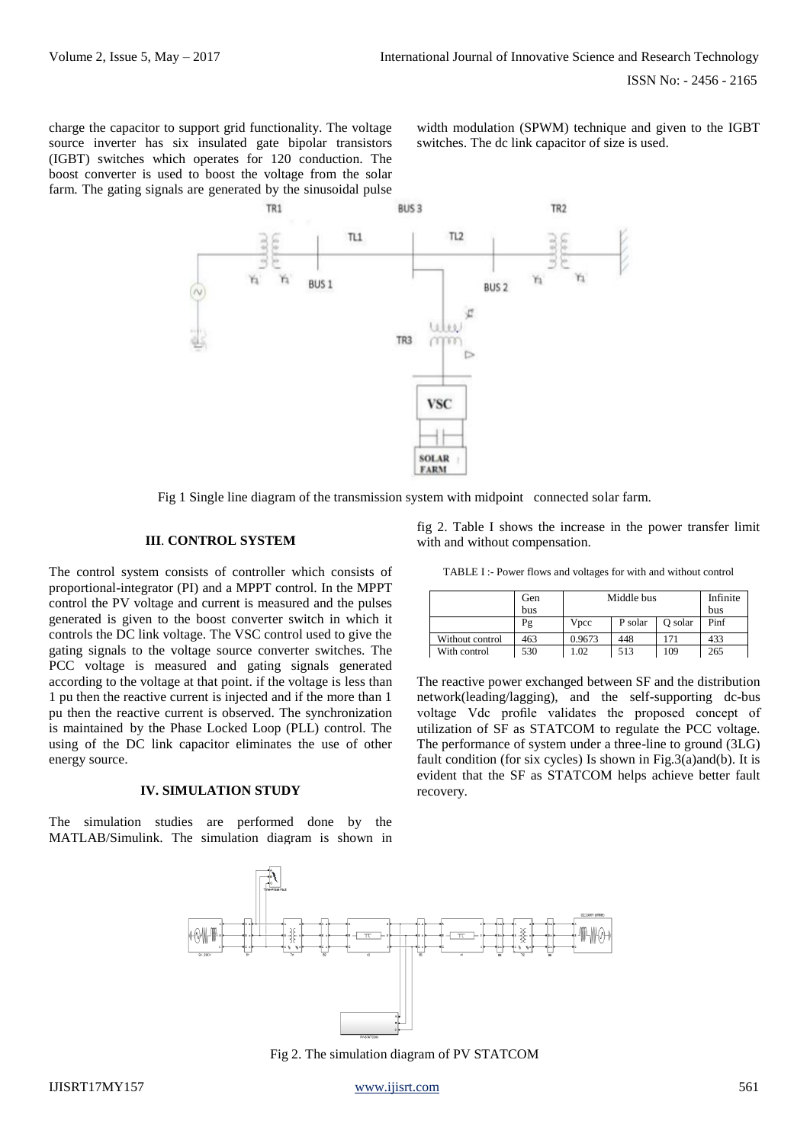charge the capacitor to support grid functionality. The voltage source inverter has six insulated gate bipolar transistors (IGBT) switches which operates for 120 conduction. The boost converter is used to boost the voltage from the solar farm. The gating signals are generated by the sinusoidal pulse

width modulation (SPWM) technique and given to the IGBT switches. The dc link capacitor of size is used.



Fig 1 Single line diagram of the transmission system with midpoint connected solar farm.

## **III**. **CONTROL SYSTEM**

The control system consists of controller which consists of proportional-integrator (PI) and a MPPT control. In the MPPT control the PV voltage and current is measured and the pulses generated is given to the boost converter switch in which it controls the DC link voltage. The VSC control used to give the gating signals to the voltage source converter switches. The PCC voltage is measured and gating signals generated according to the voltage at that point. if the voltage is less than 1 pu then the reactive current is injected and if the more than 1 pu then the reactive current is observed. The synchronization is maintained by the Phase Locked Loop (PLL) control. The using of the DC link capacitor eliminates the use of other energy source.

#### **IV. SIMULATION STUDY**

The simulation studies are performed done by the MATLAB/Simulink. The simulation diagram is shown in

fig 2. Table I shows the increase in the power transfer limit with and without compensation.

TABLE I :- Power flows and voltages for with and without control

|                 | Gen | Middle bus |         |         | Infinite |
|-----------------|-----|------------|---------|---------|----------|
|                 | bus |            |         |         | bus      |
|                 | Pg  | Vpcc       | P solar | O solar | Pinf     |
| Without control | 463 | 0.9673     | 448     | 171     | 433      |
| With control    | 530 | 0.02       | 513     | 109     | 265      |

The reactive power exchanged between SF and the distribution network(leading/lagging), and the self-supporting dc-bus voltage Vdc profile validates the proposed concept of utilization of SF as STATCOM to regulate the PCC voltage. The performance of system under a three-line to ground (3LG) fault condition (for six cycles) Is shown in Fig.3(a)and(b). It is evident that the SF as STATCOM helps achieve better fault recovery.



Fig 2. The simulation diagram of PV STATCOM